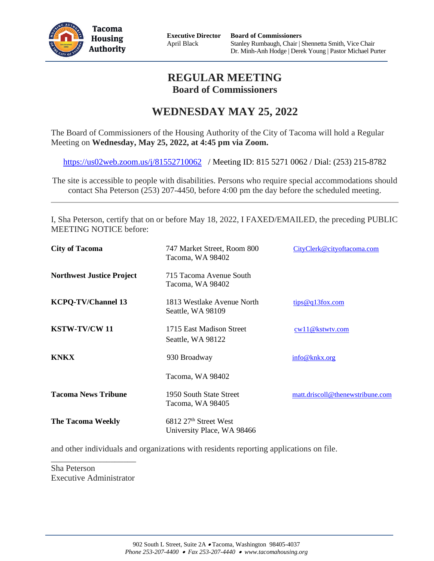

**Executive Director** April Black

# **REGULAR MEETING Board of Commissioners**

# **WEDNESDAY MAY 25, 2022**

The Board of Commissioners of the Housing Authority of the City of Tacoma will hold a Regular Meeting on **Wednesday, May 25, 2022, at 4:45 pm via Zoom.**

<https://us02web.zoom.us/j/81552710062> / Meeting ID: 815 5271 0062 / Dial: (253) 215-8782

The site is accessible to people with disabilities. Persons who require special accommodations should contact Sha Peterson (253) 207-4450, before 4:00 pm the day before the scheduled meeting.

I, Sha Peterson, certify that on or before May 18, 2022, I FAXED/EMAILED, the preceding PUBLIC MEETING NOTICE before:

| <b>City of Tacoma</b>            | 747 Market Street, Room 800<br>Tacoma, WA 98402                 | CityClerk@cityoftacoma.com       |
|----------------------------------|-----------------------------------------------------------------|----------------------------------|
| <b>Northwest Justice Project</b> | 715 Tacoma Avenue South<br>Tacoma, WA 98402                     |                                  |
| <b>KCPQ-TV/Channel 13</b>        | 1813 Westlake Avenue North<br>Seattle, WA 98109                 | tips@q13fox.com                  |
| <b>KSTW-TV/CW 11</b>             | 1715 East Madison Street<br>Seattle, WA 98122                   | cw11@kstwty.com                  |
| <b>KNKX</b>                      | 930 Broadway                                                    | info@knkx.org                    |
|                                  | Tacoma, WA 98402                                                |                                  |
| <b>Tacoma News Tribune</b>       | 1950 South State Street<br>Tacoma, WA 98405                     | matt.driscoll@thenewstribune.com |
| <b>The Tacoma Weekly</b>         | 6812 27 <sup>th</sup> Street West<br>University Place, WA 98466 |                                  |

and other individuals and organizations with residents reporting applications on file.

Sha Peterson Executive Administrator

\_\_\_\_\_\_\_\_\_\_\_\_\_\_\_\_\_\_\_\_